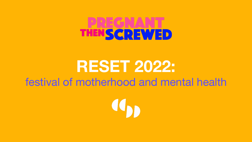# THENSCREWED

#### **RESET 2022:** festival of motherhood and mental health

Con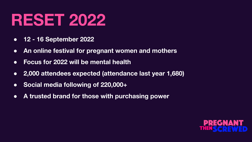#### **RESET 2022**

- **● 12 16 September 2022**
- **● An online festival for pregnant women and mothers**
- **● Focus for 2022 will be mental health**
- **● 2,000 attendees expected (attendance last year 1,680)**
- **● Social media following of 220,000+**
- **● A trusted brand for those with purchasing power**

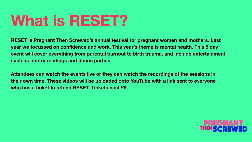#### **What is RESET?**

**RESET is Pregnant Then Screwed's annual festival for pregnant women and mothers. Last year we focussed on confidence and work. This year's theme is mental health. This 5 day event will cover everything from parental burnout to birth trauma, and include entertainment such as poetry readings and dance parties.** 

**Attendees can watch the events live or they can watch the recordings of the sessions in their own time. These videos will be uploaded onto YouTube with a link sent to everyone who has a ticket to attend RESET. Tickets cost £6.** 

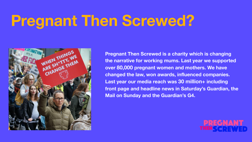#### **Pregnant Then Screwed?**



**Pregnant Then Screwed is a charity which is changing the narrative for working mums. Last year we supported over 80,000 pregnant women and mothers. We have changed the law, won awards, influenced companies. Last year our media reach was 30 million+ including front page and headline news in Saturday's Guardian, the Mail on Sunday and the Guardian's G4.** 

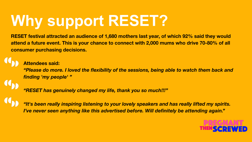## **Why support RESET?**

**RESET festival attracted an audience of 1,680 mothers last year, of which 92% said they would attend a future event. This is your chance to connect with 2,000 mums who drive 70-80% of all consumer purchasing decisions.**

#### **Attendees said:**

*"Please do more. I loved the flexibility of the sessions, being able to watch them back and finding 'my people' "*

*"RESET has genuinely changed my life, thank you so much!!!"*

*"It's been really inspiring listening to your lovely speakers and has really lifted my spirits. I've never seen anything like this advertised before. Will definitely be attending again."*

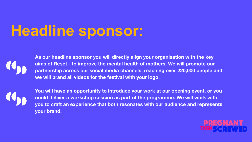## **Headline sponsor:**



**As our headline sponsor you will directly align your organisation with the key aims of Reset - to improve the mental health of mothers. We will promote our partnership across our social media channels, reaching over 220,000 people and we will brand all videos for the festival with your logo.**



**You will have an opportunity to introduce your work at our opening event, or you could deliver a workshop session as part of the programme. We will work with you to craft an experience that both resonates with our audience and represents your brand.** 

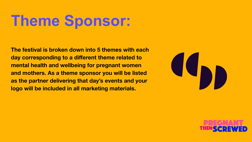#### **Theme Sponsor:**

**The festival is broken down into 5 themes with each day corresponding to a different theme related to mental health and wellbeing for pregnant women and mothers. As a theme sponsor you will be listed as the partner delivering that day's events and your logo will be included in all marketing materials.**